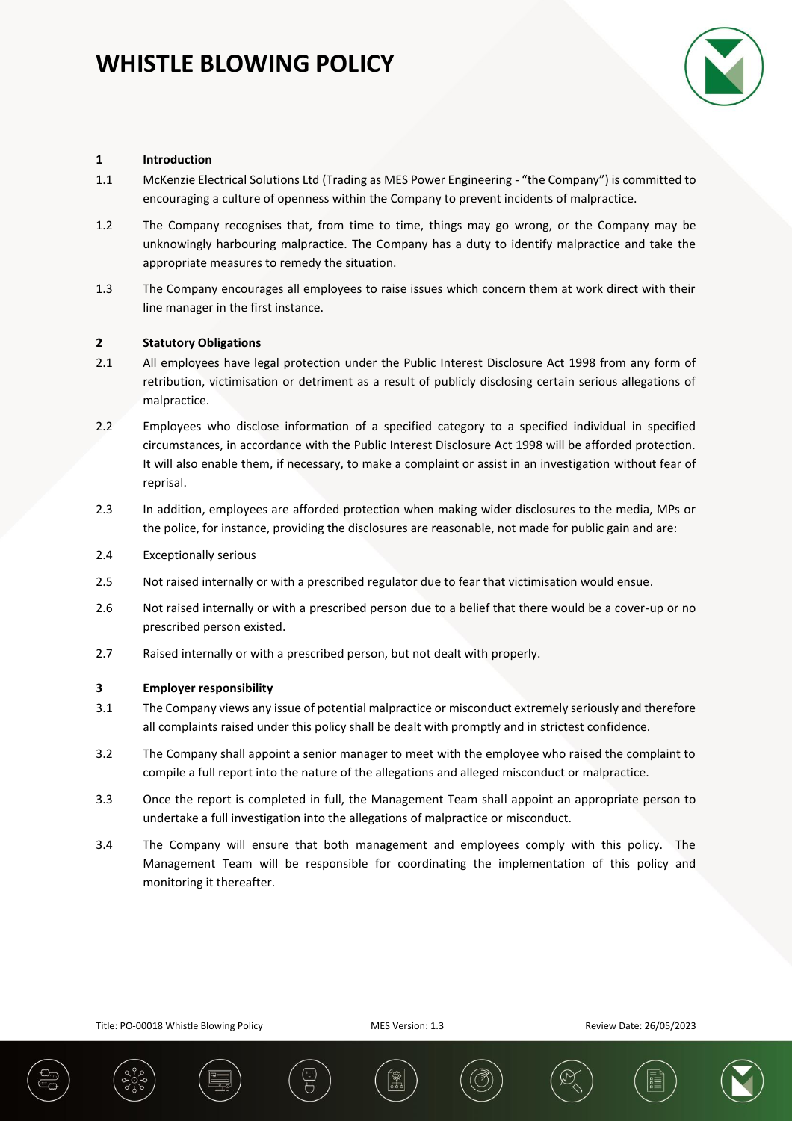

## **1 Introduction**

- 1.1 McKenzie Electrical Solutions Ltd (Trading as MES Power Engineering "the Company") is committed to encouraging a culture of openness within the Company to prevent incidents of malpractice.
- 1.2 The Company recognises that, from time to time, things may go wrong, or the Company may be unknowingly harbouring malpractice. The Company has a duty to identify malpractice and take the appropriate measures to remedy the situation.
- 1.3 The Company encourages all employees to raise issues which concern them at work direct with their line manager in the first instance.

## **2 Statutory Obligations**

- 2.1 All employees have legal protection under the Public Interest Disclosure Act 1998 from any form of retribution, victimisation or detriment as a result of publicly disclosing certain serious allegations of malpractice.
- 2.2 Employees who disclose information of a specified category to a specified individual in specified circumstances, in accordance with the Public Interest Disclosure Act 1998 will be afforded protection. It will also enable them, if necessary, to make a complaint or assist in an investigation without fear of reprisal.
- 2.3 In addition, employees are afforded protection when making wider disclosures to the media, MPs or the police, for instance, providing the disclosures are reasonable, not made for public gain and are:
- 2.4 Exceptionally serious
- 2.5 Not raised internally or with a prescribed regulator due to fear that victimisation would ensue.
- 2.6 Not raised internally or with a prescribed person due to a belief that there would be a cover-up or no prescribed person existed.
- 2.7 Raised internally or with a prescribed person, but not dealt with properly.

#### **3 Employer responsibility**

- 3.1 The Company views any issue of potential malpractice or misconduct extremely seriously and therefore all complaints raised under this policy shall be dealt with promptly and in strictest confidence.
- 3.2 The Company shall appoint a senior manager to meet with the employee who raised the complaint to compile a full report into the nature of the allegations and alleged misconduct or malpractice.
- 3.3 Once the report is completed in full, the Management Team shall appoint an appropriate person to undertake a full investigation into the allegations of malpractice or misconduct.
- 3.4 The Company will ensure that both management and employees comply with this policy. The Management Team will be responsible for coordinating the implementation of this policy and monitoring it thereafter.







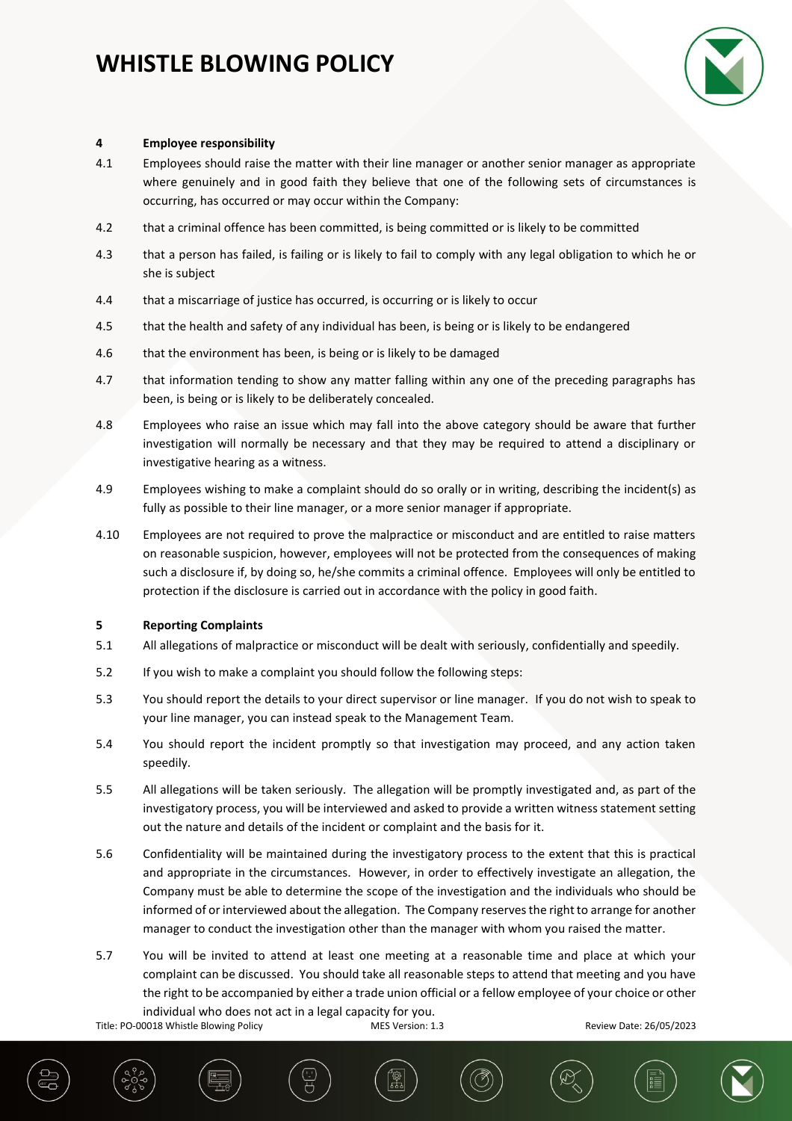# **WHISTLE BLOWING POLICY**



### **4 Employee responsibility**

- 4.1 Employees should raise the matter with their line manager or another senior manager as appropriate where genuinely and in good faith they believe that one of the following sets of circumstances is occurring, has occurred or may occur within the Company:
- 4.2 that a criminal offence has been committed, is being committed or is likely to be committed
- 4.3 that a person has failed, is failing or is likely to fail to comply with any legal obligation to which he or she is subject
- 4.4 that a miscarriage of justice has occurred, is occurring or is likely to occur
- 4.5 that the health and safety of any individual has been, is being or is likely to be endangered
- 4.6 that the environment has been, is being or is likely to be damaged
- 4.7 that information tending to show any matter falling within any one of the preceding paragraphs has been, is being or is likely to be deliberately concealed.
- 4.8 Employees who raise an issue which may fall into the above category should be aware that further investigation will normally be necessary and that they may be required to attend a disciplinary or investigative hearing as a witness.
- 4.9 Employees wishing to make a complaint should do so orally or in writing, describing the incident(s) as fully as possible to their line manager, or a more senior manager if appropriate.
- 4.10 Employees are not required to prove the malpractice or misconduct and are entitled to raise matters on reasonable suspicion, however, employees will not be protected from the consequences of making such a disclosure if, by doing so, he/she commits a criminal offence. Employees will only be entitled to protection if the disclosure is carried out in accordance with the policy in good faith.

### **5 Reporting Complaints**

- 5.1 All allegations of malpractice or misconduct will be dealt with seriously, confidentially and speedily.
- 5.2 If you wish to make a complaint you should follow the following steps:
- 5.3 You should report the details to your direct supervisor or line manager. If you do not wish to speak to your line manager, you can instead speak to the Management Team.
- 5.4 You should report the incident promptly so that investigation may proceed, and any action taken speedily.
- 5.5 All allegations will be taken seriously. The allegation will be promptly investigated and, as part of the investigatory process, you will be interviewed and asked to provide a written witness statement setting out the nature and details of the incident or complaint and the basis for it.
- 5.6 Confidentiality will be maintained during the investigatory process to the extent that this is practical and appropriate in the circumstances. However, in order to effectively investigate an allegation, the Company must be able to determine the scope of the investigation and the individuals who should be informed of or interviewed about the allegation. The Company reserves the right to arrange for another manager to conduct the investigation other than the manager with whom you raised the matter.
- 5.7 You will be invited to attend at least one meeting at a reasonable time and place at which your complaint can be discussed. You should take all reasonable steps to attend that meeting and you have the right to be accompanied by either a trade union official or a fellow employee of your choice or other individual who does not act in a legal capacity for you.

Title: PO-00018 Whistle Blowing Policy MES Version: 1.3 Review Date: 26/05/2023